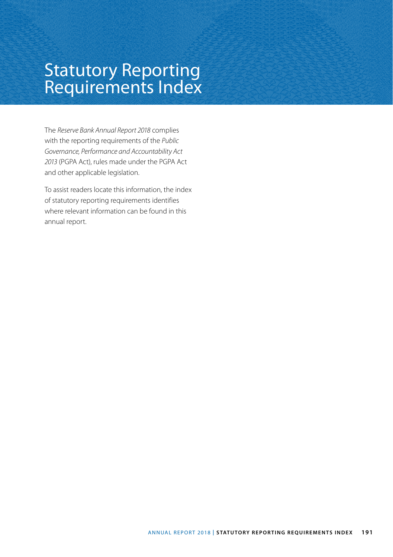## Statutory Reporting Requirements Index

The *Reserve Bank Annual Report 2018* complies with the reporting requirements of the *Public Governance, Performance and Accountability Act 2013* (PGPA Act), rules made under the PGPA Act and other applicable legislation.

To assist readers locate this information, the index of statutory reporting requirements identifies where relevant information can be found in this annual report.